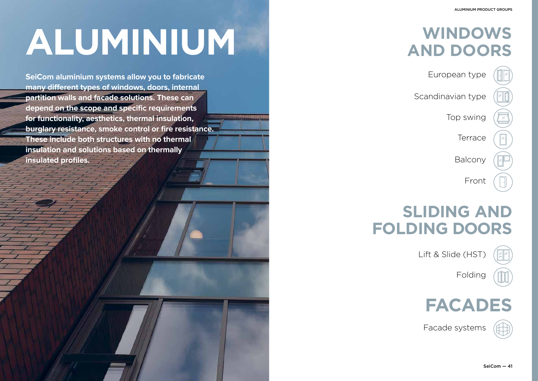# **WINDOWS ALUMINIUM AND DOORS**

European type

Scandinavian type

Top swing

**Terrace** 

Balcony

Front

Lift & Slide (HST)



Folding



**SeiCom aluminium systems allow you to fabricate many different types of windows, doors, internal partition walls and facade solutions. These can depend on the scope and specific requirements for functionality, aesthetics, thermal insulation, burglary resistance, smoke control or fire resistance. These include both structures with no thermal insulation and solutions based on thermally insulated profiles.** 



#### ALUMINIUM PRODUCT GROUPS

## **SLIDING AND FOLDING DOORS**

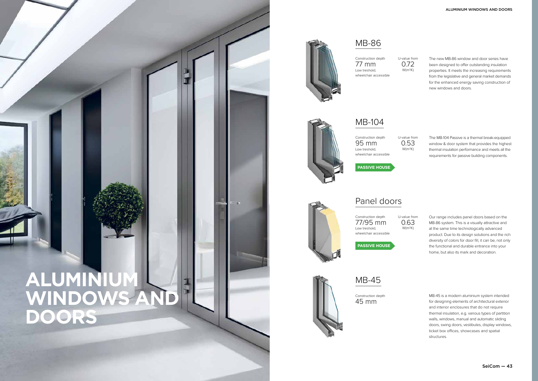



The new MB-86 window and door series have been designed to offer outstanding insulation properties. It meets the increasing requirements from the legislative and general market demands for the enhanced energy saving construction of new windows and doors.

The MB-104 Passive is a thermal break-equipped window & door system that provides the highest thermal insulation performance and meets all the requirements for passive building components.

Our range includes panel doors based on the MB-86 system. This is a visually attractive and at the same time technologically advanced product. Due to its design solutions and the rich diversity of colors for door fill, it can be, not only the functional and durable entrance into your home, but also its mark and decoration.

MB-45 is a modern aluminium system intended for designing elements of architectural exterior and interior enclosures that do not require thermal insulation, e.g. various types of partition walls, windows, manual and automatic sliding doors, swing doors, vestibules, display windows, ticket box offices, showcases and spatial structures.

#### MB-86

### Panel doors

MB-45

Construction depth 77 mm Low treshold, wheelchair accessible



Construction depth wheelchair accessible

Construction depth 77/95 mm Low treshold, wheelchair accessible

Construction depth 45 mm







**PASSIVE HOUSE**



**PASSIVE HOUSE**

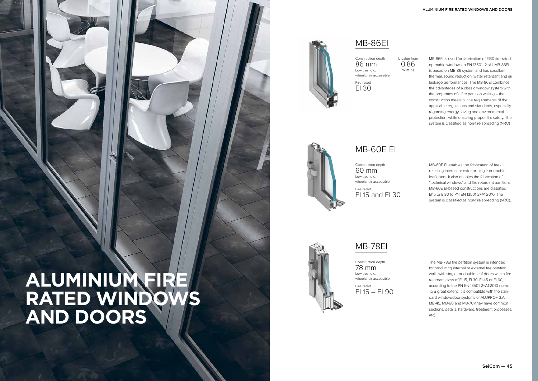# **ALUMINIUM FIRE RATED WINDOWS AND DOORS**



MB-86EI is used for fabrication of EI30 fire-rated openable windows to EN 13501- 2+A1. MB-86EI is based on MB-86 system and has excellent thermal, sound reduction, water retardant and air leakage performances. The MB-86EI combines the advantages of a classic window system with the properties of a fire partition walling – the construction meets all the requirements of the applicable regulations and standards, especially regarding energy saving and environmental protection, while ensuring proper fire safety. The system is classified as non-fire spreading (NRO)

MB-60E EI enables the fabrication of fireresisting internal or exterior, single or double leaf doors. It also enables the fabrication of "technical windows" and fire retardant partitions. MB-60E EI-based constructions are classified EI15 or EI30 to PN-EN 13501-2+A1:2010. The system is classified as non-fire spreading (NRO).

Fire rated  $E1 15 - E1 90$  The MB-78EI fire partition system is intended for producing internal or external fire partition walls with single- or double-leaf doors with a fire retardant class of EI 15, EI 30, EI 45 or EI 60, according to the PN-EN 13501-2+A1:2010 norm. To a great extent, it is compatible with the standard window/door systems of ALUPROF S.A.: MB-45, MB-60 and MB-70 (they have common sections, details, hardware, treatment processes, etc).

MB-86EI

MB-60E EI



Construction depth 86 mm Low treshold, wheelchair accessible

Construction depth 60 mm Low treshold, wheelchair accessible

Construction depth 78 mm Low treshold, wheelchair accessible



Fire rated EI 30



Fire rated EI 15 and EI 30

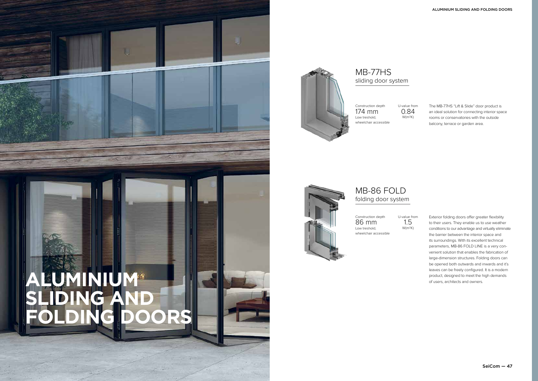# **ALUMINIUM® SLIDING AND FOLDING DOORS**



The MB-77HS "Lift & Slide" door product is an ideal solution for connecting interior space rooms or conservatories with the outside balcony, terrace or garden area.

Exterior folding doors offer greater flexibility to their users. They enable us to use weather conditions to our advantage and virtually eliminate the barrier between the interior space and its surroundings. With its excellent technical parameters, MB-86 FOLD LINE is a very convenient solution that enables the fabrication of large-dimension structures. Folding doors can be opened both outwards and inwards and it's leaves can be freely configured. It is a modern product, designed to meet the high demands of users, architects and owners.





### MB-77HS sliding door system

#### MB-86 FOLD folding door system

Construction depth 174 mm Low treshold, wheelchair accessible





Construction depth 86 mm Low treshold,

wheelchair accessible

U-value from 0.84 W(m2K)